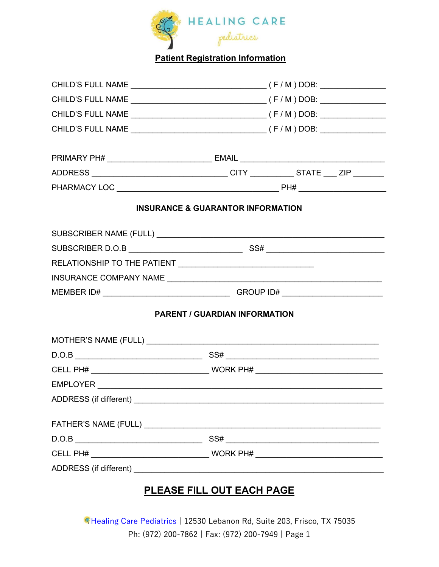

## Patient Registration Information

| PRIMARY PH# __________________________________ EMAIL ____________________________ |                                              |  |  |
|-----------------------------------------------------------------------------------|----------------------------------------------|--|--|
| ADDRESS __________________________________CITY ____________STATE ____ ZIP _______ |                                              |  |  |
|                                                                                   |                                              |  |  |
|                                                                                   | <b>INSURANCE &amp; GUARANTOR INFORMATION</b> |  |  |
|                                                                                   |                                              |  |  |
|                                                                                   |                                              |  |  |
|                                                                                   |                                              |  |  |
|                                                                                   |                                              |  |  |
|                                                                                   |                                              |  |  |
|                                                                                   | <b>PARENT / GUARDIAN INFORMATION</b>         |  |  |
|                                                                                   |                                              |  |  |
|                                                                                   |                                              |  |  |
|                                                                                   |                                              |  |  |
|                                                                                   |                                              |  |  |
| ADDRESS (if different) _________                                                  |                                              |  |  |
|                                                                                   |                                              |  |  |
| $\text{D.O.B} \underline{\hspace{2cm}}$                                           |                                              |  |  |
|                                                                                   |                                              |  |  |
|                                                                                   |                                              |  |  |

## PLEASE FILL OUT EACH PAGE

Healing Care Pediatrics | 12530 Lebanon Rd, Suite 203, Frisco, TX 75035 Ph: (972) 200-7862 | Fax: (972) 200-7949 | Page 1